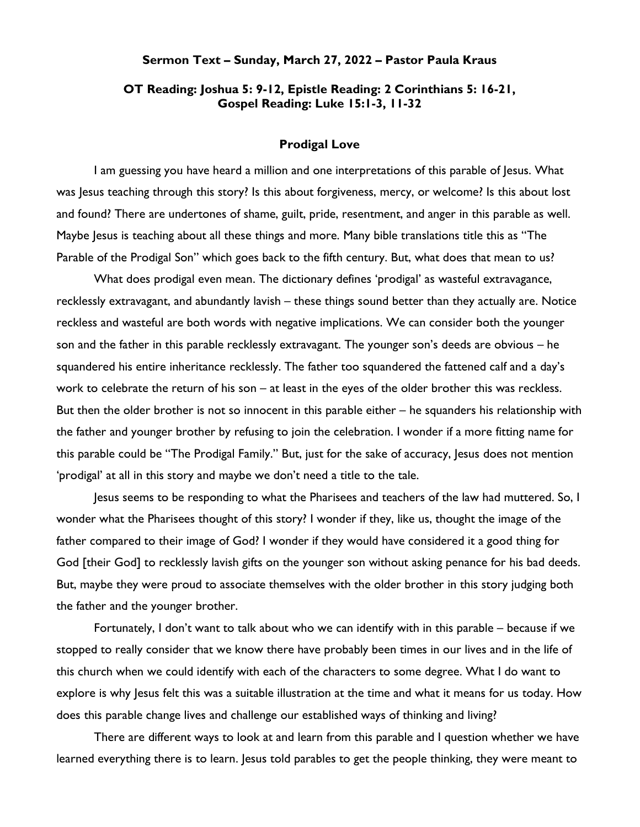## Sermon Text – Sunday, March 27, 2022 – Pastor Paula Kraus

## OT Reading: Joshua 5: 9-12, Epistle Reading: 2 Corinthians 5: 16-21, Gospel Reading: Luke 15:1-3, 11-32

## Prodigal Love

I am guessing you have heard a million and one interpretations of this parable of Jesus. What was Jesus teaching through this story? Is this about forgiveness, mercy, or welcome? Is this about lost and found? There are undertones of shame, guilt, pride, resentment, and anger in this parable as well. Maybe Jesus is teaching about all these things and more. Many bible translations title this as "The Parable of the Prodigal Son" which goes back to the fifth century. But, what does that mean to us?

What does prodigal even mean. The dictionary defines 'prodigal' as wasteful extravagance, recklessly extravagant, and abundantly lavish – these things sound better than they actually are. Notice reckless and wasteful are both words with negative implications. We can consider both the younger son and the father in this parable recklessly extravagant. The younger son's deeds are obvious – he squandered his entire inheritance recklessly. The father too squandered the fattened calf and a day's work to celebrate the return of his son – at least in the eyes of the older brother this was reckless. But then the older brother is not so innocent in this parable either – he squanders his relationship with the father and younger brother by refusing to join the celebration. I wonder if a more fitting name for this parable could be "The Prodigal Family." But, just for the sake of accuracy, Jesus does not mention 'prodigal' at all in this story and maybe we don't need a title to the tale.

Jesus seems to be responding to what the Pharisees and teachers of the law had muttered. So, I wonder what the Pharisees thought of this story? I wonder if they, like us, thought the image of the father compared to their image of God? I wonder if they would have considered it a good thing for God [their God] to recklessly lavish gifts on the younger son without asking penance for his bad deeds. But, maybe they were proud to associate themselves with the older brother in this story judging both the father and the younger brother.

Fortunately, I don't want to talk about who we can identify with in this parable – because if we stopped to really consider that we know there have probably been times in our lives and in the life of this church when we could identify with each of the characters to some degree. What I do want to explore is why Jesus felt this was a suitable illustration at the time and what it means for us today. How does this parable change lives and challenge our established ways of thinking and living?

There are different ways to look at and learn from this parable and I question whether we have learned everything there is to learn. Jesus told parables to get the people thinking, they were meant to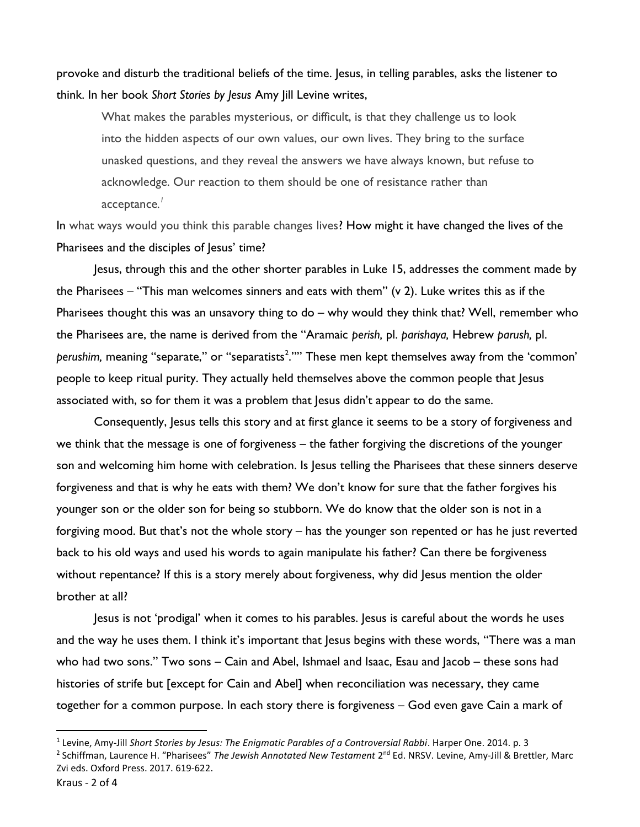provoke and disturb the traditional beliefs of the time. Jesus, in telling parables, asks the listener to think. In her book Short Stories by Jesus Amy Jill Levine writes,

What makes the parables mysterious, or difficult, is that they challenge us to look into the hidden aspects of our own values, our own lives. They bring to the surface unasked questions, and they reveal the answers we have always known, but refuse to acknowledge. Our reaction to them should be one of resistance rather than acceptance. $^\prime$ 

In what ways would you think this parable changes lives? How might it have changed the lives of the Pharisees and the disciples of Jesus' time?

Jesus, through this and the other shorter parables in Luke 15, addresses the comment made by the Pharisees – "This man welcomes sinners and eats with them" (v 2). Luke writes this as if the Pharisees thought this was an unsavory thing to do – why would they think that? Well, remember who the Pharisees are, the name is derived from the "Aramaic perish, pl. parishaya, Hebrew parush, pl. perushim, meaning "separate," or "separatists<sup>2</sup>."" These men kept themselves away from the 'common' people to keep ritual purity. They actually held themselves above the common people that Jesus associated with, so for them it was a problem that Jesus didn't appear to do the same.

Consequently, Jesus tells this story and at first glance it seems to be a story of forgiveness and we think that the message is one of forgiveness – the father forgiving the discretions of the younger son and welcoming him home with celebration. Is Jesus telling the Pharisees that these sinners deserve forgiveness and that is why he eats with them? We don't know for sure that the father forgives his younger son or the older son for being so stubborn. We do know that the older son is not in a forgiving mood. But that's not the whole story – has the younger son repented or has he just reverted back to his old ways and used his words to again manipulate his father? Can there be forgiveness without repentance? If this is a story merely about forgiveness, why did Jesus mention the older brother at all?

Jesus is not 'prodigal' when it comes to his parables. Jesus is careful about the words he uses and the way he uses them. I think it's important that Jesus begins with these words, "There was a man who had two sons." Two sons – Cain and Abel, Ishmael and Isaac, Esau and Jacob – these sons had histories of strife but [except for Cain and Abel] when reconciliation was necessary, they came together for a common purpose. In each story there is forgiveness – God even gave Cain a mark of

 $^1$  Levine, Amy-Jill Short Stories by Jesus: The Enigmatic Parables of a Controversial Rabbi. Harper One. 2014. p. 3

<sup>&</sup>lt;sup>2</sup> Schiffman, Laurence H. "Pharisees" *The Jewish Annotated New Testament* 2<sup>nd</sup> Ed. NRSV. Levine, Amy-Jill & Brettler, Marc Zvi eds. Oxford Press. 2017. 619-622.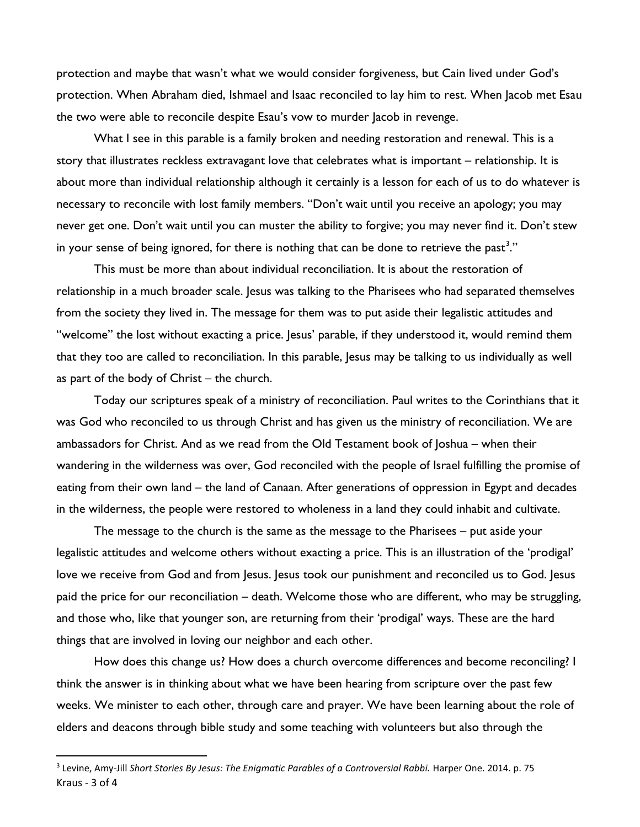protection and maybe that wasn't what we would consider forgiveness, but Cain lived under God's protection. When Abraham died, Ishmael and Isaac reconciled to lay him to rest. When Jacob met Esau the two were able to reconcile despite Esau's vow to murder Jacob in revenge.

What I see in this parable is a family broken and needing restoration and renewal. This is a story that illustrates reckless extravagant love that celebrates what is important – relationship. It is about more than individual relationship although it certainly is a lesson for each of us to do whatever is necessary to reconcile with lost family members. "Don't wait until you receive an apology; you may never get one. Don't wait until you can muster the ability to forgive; you may never find it. Don't stew in your sense of being ignored, for there is nothing that can be done to retrieve the past<sup>3</sup>."

This must be more than about individual reconciliation. It is about the restoration of relationship in a much broader scale. Jesus was talking to the Pharisees who had separated themselves from the society they lived in. The message for them was to put aside their legalistic attitudes and "welcome" the lost without exacting a price. Jesus' parable, if they understood it, would remind them that they too are called to reconciliation. In this parable, Jesus may be talking to us individually as well as part of the body of Christ – the church.

Today our scriptures speak of a ministry of reconciliation. Paul writes to the Corinthians that it was God who reconciled to us through Christ and has given us the ministry of reconciliation. We are ambassadors for Christ. And as we read from the Old Testament book of Joshua – when their wandering in the wilderness was over, God reconciled with the people of Israel fulfilling the promise of eating from their own land – the land of Canaan. After generations of oppression in Egypt and decades in the wilderness, the people were restored to wholeness in a land they could inhabit and cultivate.

The message to the church is the same as the message to the Pharisees – put aside your legalistic attitudes and welcome others without exacting a price. This is an illustration of the 'prodigal' love we receive from God and from Jesus. Jesus took our punishment and reconciled us to God. Jesus paid the price for our reconciliation – death. Welcome those who are different, who may be struggling, and those who, like that younger son, are returning from their 'prodigal' ways. These are the hard things that are involved in loving our neighbor and each other.

How does this change us? How does a church overcome differences and become reconciling? I think the answer is in thinking about what we have been hearing from scripture over the past few weeks. We minister to each other, through care and prayer. We have been learning about the role of elders and deacons through bible study and some teaching with volunteers but also through the

Kraus - 3 of 4 <sup>3</sup> Levine, Amy-Jill Short Stories By Jesus: The Enigmatic Parables of a Controversial Rabbi. Harper One. 2014. p. 75